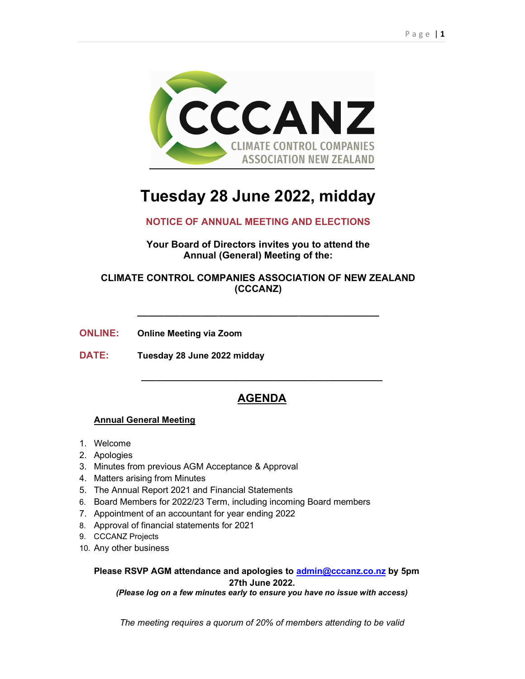

# Tuesday 28 June 2022, midday

# NOTICE OF ANNUAL MEETING AND ELECTIONS

Your Board of Directors invites you to attend the Annual (General) Meeting of the:

# CLIMATE CONTROL COMPANIES ASSOCIATION OF NEW ZEALAND (CCCANZ)

\_\_\_\_\_\_\_\_\_\_\_\_\_\_\_\_\_\_\_\_\_\_\_\_\_\_\_\_\_\_\_\_\_\_\_\_\_\_\_\_\_\_\_\_\_

ONLINE: Online Meeting via Zoom

DATE: Tuesday 28 June 2022 midday

# AGENDA

\_\_\_\_\_\_\_\_\_\_\_\_\_\_\_\_\_\_\_\_\_\_\_\_\_\_\_\_\_\_\_\_\_\_\_\_\_\_\_\_\_\_\_\_\_\_\_\_\_

### Annual General Meeting

- 1. Welcome
- 2. Apologies
- 3. Minutes from previous AGM Acceptance & Approval
- 4. Matters arising from Minutes
- 5. The Annual Report 2021 and Financial Statements
- 6. Board Members for 2022/23 Term, including incoming Board members
- 7. Appointment of an accountant for year ending 2022
- 8. Approval of financial statements for 2021
- 9. CCCANZ Projects
- 10. Any other business

Please RSVP AGM attendance and apologies to admin@cccanz.co.nz by 5pm 27th June 2022.

(Please log on a few minutes early to ensure you have no issue with access)

The meeting requires a quorum of 20% of members attending to be valid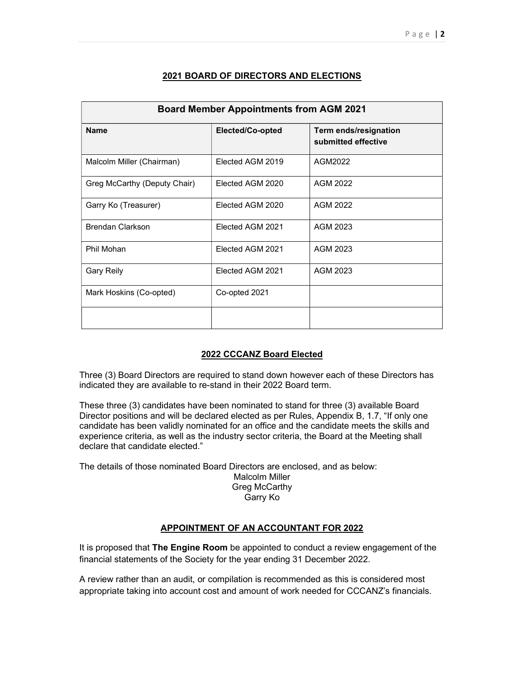| <b>Board Member Appointments from AGM 2021</b> |                  |                                              |
|------------------------------------------------|------------------|----------------------------------------------|
| <b>Name</b>                                    | Elected/Co-opted | Term ends/resignation<br>submitted effective |
| Malcolm Miller (Chairman)                      | Elected AGM 2019 | AGM2022                                      |
| Greg McCarthy (Deputy Chair)                   | Elected AGM 2020 | AGM 2022                                     |
| Garry Ko (Treasurer)                           | Elected AGM 2020 | AGM 2022                                     |
| Brendan Clarkson                               | Elected AGM 2021 | AGM 2023                                     |
| Phil Mohan                                     | Elected AGM 2021 | AGM 2023                                     |
| <b>Gary Reily</b>                              | Elected AGM 2021 | AGM 2023                                     |
| Mark Hoskins (Co-opted)                        | Co-opted 2021    |                                              |
|                                                |                  |                                              |

#### 2021 BOARD OF DIRECTORS AND ELECTIONS

#### 2022 CCCANZ Board Elected

Three (3) Board Directors are required to stand down however each of these Directors has indicated they are available to re-stand in their 2022 Board term.

These three (3) candidates have been nominated to stand for three (3) available Board Director positions and will be declared elected as per Rules, Appendix B, 1.7, "If only one candidate has been validly nominated for an office and the candidate meets the skills and experience criteria, as well as the industry sector criteria, the Board at the Meeting shall declare that candidate elected."

The details of those nominated Board Directors are enclosed, and as below:

Malcolm Miller Greg McCarthy

## Garry Ko

#### APPOINTMENT OF AN ACCOUNTANT FOR 2022

It is proposed that The Engine Room be appointed to conduct a review engagement of the financial statements of the Society for the year ending 31 December 2022.

A review rather than an audit, or compilation is recommended as this is considered most appropriate taking into account cost and amount of work needed for CCCANZ's financials.